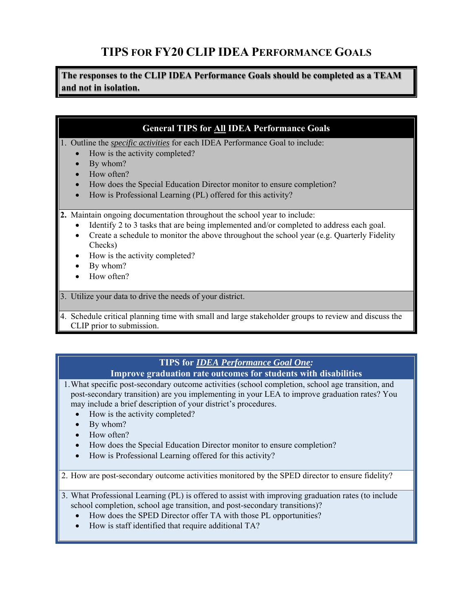## **TIPS FOR FY20 CLIP IDEA PERFORMANCE GOALS**

**The responses to the CLIP IDEA Performance Goals should be completed as a TEAM and not in isolation.** 

### **General TIPS for All IDEA Performance Goals**

1. Outline the *specific activities* for each IDEA Performance Goal to include:

- How is the activity completed?
- By whom?
- How often?
- How does the Special Education Director monitor to ensure completion?
- How is Professional Learning (PL) offered for this activity?

**2.** Maintain ongoing documentation throughout the school year to include:

- Identify 2 to 3 tasks that are being implemented and/or completed to address each goal.
- Create a schedule to monitor the above throughout the school year (e.g. Quarterly Fidelity Checks)
- How is the activity completed?
- By whom?
- $\bullet$  How often?

3. Utilize your data to drive the needs of your district.

4. Schedule critical planning time with small and large stakeholder groups to review and discuss the CLIP prior to submission.

# **TIPS for** *IDEA Performance Goal One:*

**Improve graduation rate outcomes for students with disabilities**

1.What specific post-secondary outcome activities (school completion, school age transition, and post-secondary transition) are you implementing in your LEA to improve graduation rates? You may include a brief description of your district's procedures.

- How is the activity completed?
- By whom?
- $\bullet$  How often?
- How does the Special Education Director monitor to ensure completion?
- How is Professional Learning offered for this activity?

2. How are post-secondary outcome activities monitored by the SPED director to ensure fidelity?

- 3. What Professional Learning (PL) is offered to assist with improving graduation rates (to include school completion, school age transition, and post-secondary transitions)?
	- How does the SPED Director offer TA with those PL opportunities?
	- How is staff identified that require additional TA?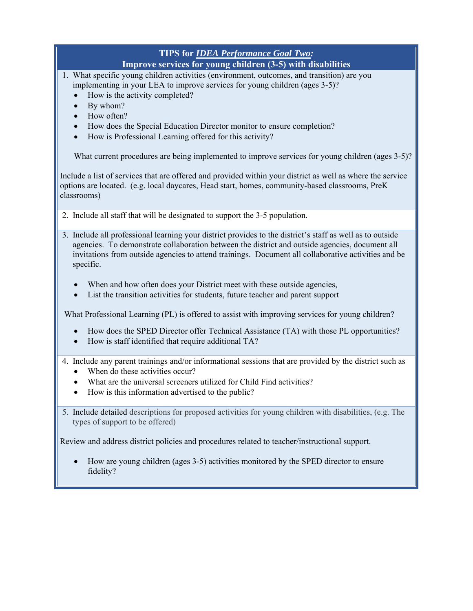### **TIPS for** *IDEA Performance Goal Two:* **Improve services for young children (3-5) with disabilities**

- 1. What specific young children activities (environment, outcomes, and transition) are you implementing in your LEA to improve services for young children (ages 3-5)?
	- How is the activity completed?
	- By whom?
	- How often?
	- How does the Special Education Director monitor to ensure completion?
	- How is Professional Learning offered for this activity?

What current procedures are being implemented to improve services for young children (ages 3-5)?

Include a list of services that are offered and provided within your district as well as where the service options are located. (e.g. local daycares, Head start, homes, community-based classrooms, PreK classrooms)

- 2. Include all staff that will be designated to support the 3-5 population.
- 3. Include all professional learning your district provides to the district's staff as well as to outside agencies. To demonstrate collaboration between the district and outside agencies, document all invitations from outside agencies to attend trainings. Document all collaborative activities and be specific.
	- When and how often does your District meet with these outside agencies,
	- List the transition activities for students, future teacher and parent support

What Professional Learning (PL) is offered to assist with improving services for young children?

- How does the SPED Director offer Technical Assistance (TA) with those PL opportunities?
- How is staff identified that require additional TA?
- 4. Include any parent trainings and/or informational sessions that are provided by the district such as
	- When do these activities occur?
	- What are the universal screeners utilized for Child Find activities?
	- How is this information advertised to the public?
- 5. Include detailed descriptions for proposed activities for young children with disabilities, (e.g. The types of support to be offered)

Review and address district policies and procedures related to teacher/instructional support.

 How are young children (ages 3-5) activities monitored by the SPED director to ensure fidelity?